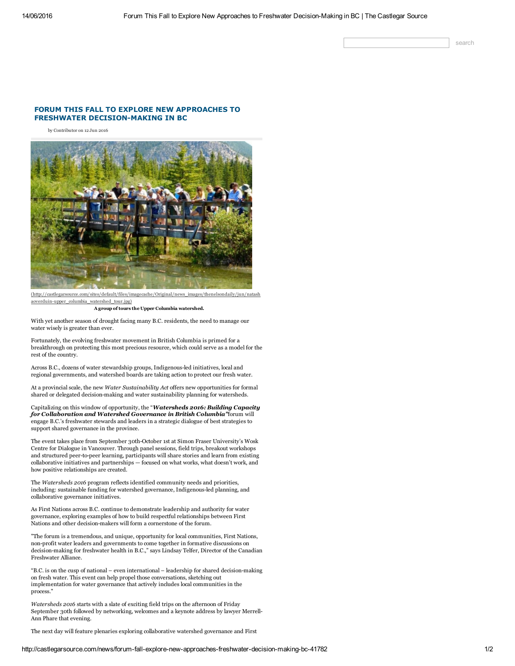search

# FORUM THIS FALL TO EXPLORE NEW APPROACHES TO FRESHWATER DECISION-MAKING IN BC

by Contributor on 12 Jun 2016



aoverduin-upper\_columbia\_watershed\_tour.jpg)

A group of tours the Upper Columbia watershed.

With yet another season of drought facing many B.C. residents, the need to manage our water wisely is greater than ever.

Fortunately, the evolving freshwater movement in British Columbia is primed for a breakthrough on protecting this most precious resource, which could serve as a model for the rest of the country.

Across B.C., dozens of water stewardship groups, Indigenous-led initiatives, local and regional governments, and watershed boards are taking action to protect our fresh water.

At a provincial scale, the new Water Sustainability Act offers new opportunities for formal shared or delegated decision-making and water sustainability planning for watersheds.

Capitalizing on this window of opportunity, the "Watersheds 2016: Building Capacity for Collaboration and Watershed Governance in British Columbia"forum will engage B.C.'s freshwater stewards and leaders in a strategic dialogue of best strategies to support shared governance in the province.

The event takes place from September 30th-October 1st at Simon Fraser University's Wosk Centre for Dialogue in Vancouver. Through panel sessions, field trips, breakout workshops and structured peer-to-peer learning, participants will share stories and learn from existing collaborative initiatives and partnerships — focused on what works, what doesn't work, and how positive relationships are created.

The Watersheds 2016 program reflects identified community needs and priorities, including: sustainable funding for watershed governance, Indigenous-led planning, and collaborative governance initiatives.

As First Nations across B.C. continue to demonstrate leadership and authority for water governance, exploring examples of how to build respectful relationships between First Nations and other decision-makers will form a cornerstone of the forum.

"The forum is a tremendous, and unique, opportunity for local communities, First Nations, non-profit water leaders and governments to come together in formative discussions on decision-making for freshwater health in B.C.," says Lindsay Telfer, Director of the Canadian Freshwater Alliance.

"B.C. is on the cusp of national – even international – leadership for shared decision-making on fresh water. This event can help propel those conversations, sketching out implementation for water governance that actively includes local communities in the process."

Watersheds 2016 starts with a slate of exciting field trips on the afternoon of Friday September 30th followed by networking, welcomes and a keynote address by lawyer Merrell-Ann Phare that evening.

The next day will feature plenaries exploring collaborative watershed governance and First